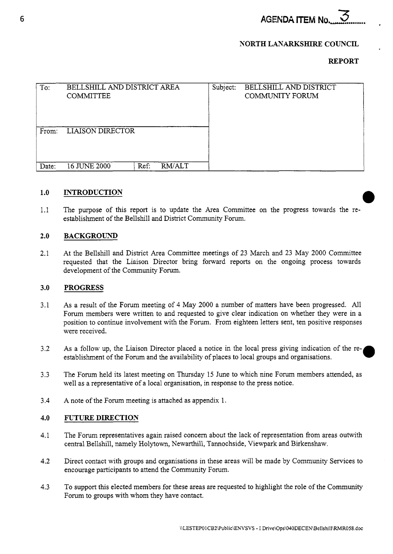**AGENDA ITEM No.** 

# **NORTH LANARKSHIRE COUNCIL**

# **REPORT**

| To:   | BELLSHILL AND DISTRICT AREA<br><b>COMMITTEE</b> |      |        | Subject: | BELLSHILL AND DISTRICT<br><b>COMMUNITY FORUM</b> |  |
|-------|-------------------------------------------------|------|--------|----------|--------------------------------------------------|--|
| From: | <b>LIAISON DIRECTOR</b>                         |      |        |          |                                                  |  |
| Date: | 16 JUNE 2000                                    | Ref: | RM/ALT |          |                                                  |  |

### **1** .o **INTRODUCTION**

1.1 The purpose of this report is to update the Area Committee on the progress towards the reestablishment of the Bellshill and District Community Forum.

### **2.0 BACKGROUND**

2.1 At the Bellshill and District Area Committee meetings of 23 March and 23 May 2000 Committee requested that the Liaison Director bring forward reports on the ongoing process towards development of the Community Forum.

### **3.0 PROGRESS**

- 3.1 As a result of the Forum meeting of 4 May 2000 a number of matters have been progressed. All Forum members were written to and requested to give clear indication on whether they were in a position to continue involvement with the Forum. From eighteen letters sent, ten positive responses were received.
- 3.2 As a follow up, the Liaison Director placed a notice in the local press giving indication of the reestablishment of the Forum and the availability of places to local groups and organisations.
- 3.3 The Forum held its latest meeting on Thursday 15 June to which nine Forum members attended, as well as a representative of a local organisation, in response to the press notice.
- 3.4 A note of the Forum meeting is attached as appendix 1.

### **4.0 FUTURE DIRECTION**

- 4.1 The Forum representatives again raised concern about the lack of representation from areas outwith central Bellshill, namely Holytown, Newarthill, Tannochside, Viewpark and Birkenshaw.
- 4.2 Direct contact with groups and organisations in these areas will be made by Community Services to encourage participants to attend the Community Forum.
- 4.3 To support this elected members for these areas are requested to highlight the role of the Community Forum to groups with whom they have contact.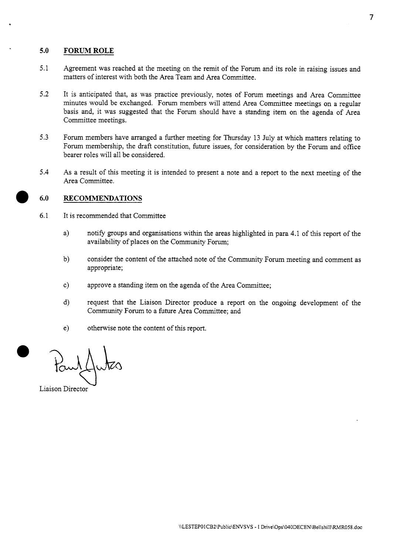# **5.0 FORUMROLE**

- 5.1 Agreement was reached at the meeting on the remit of the Forum and its role in raising issues and matters of interest with both the Area Team and Area Committee.
- 5.2 It is anticipated that, as was practice previously, notes of Forum meetings and Area Committee minutes would be exchanged. Forum members will attend Area Committee meetings on a regular basis and, it was suggested that the Forum should have a standing item on the agenda of Area Committee meetings.
- *5.3* Forum members have arranged a further meeting for Thursday 13 July at which matters relating to Forum membership, the draft constitution, future issues, for consideration by the Forum and office bearer roles will all be considered.
- 5.4 As a result of this meeting it is intended to present a note and a report to the next meeting of the Area Committee.

# **6.0 RECOMMENDATIONS**

- 6.1 It is recommended that Committee
	- a) notify groups and organisations within the areas highlighted in para 4.1 of this report of the availability of places on the Community Forum;
	- b) consider the content of the attached note of the Community Forum meeting and comment as appropriate;
	- c) approve a standing item on the agenda of the Area Committee;
	- d) request that the Liaison Director produce a report on the ongoing development of the Community Forum to a future Area Committee; and
	- e) otherwise note the content of this report.

Liaison Director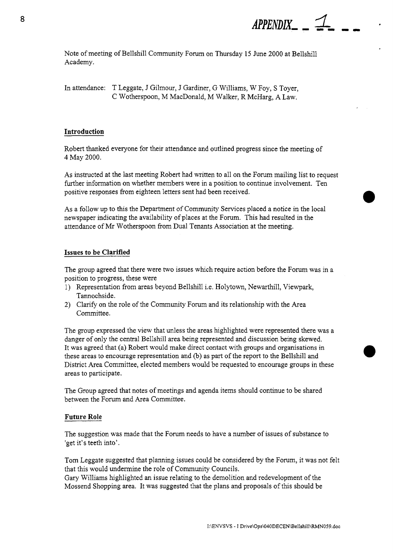

Note of meeting of Bellshill Community Forum on Thursday 15 June 2000 at Bellshill Academy.

In attendance: T Leggate, J Gilmour, J Gardiner, G Williams, W Foy, S Toyer, C Wotherspoon, M MacDonald, M Walker, R McHarg, A Law.

## **Introduction**

Robert thanked everyone for their attendance and outlined progress since the meeting of 4 May 2000.

**As** instructed at the last meeting Robert had written to all on the Forum mailing list to request further information on whether members were in a position to continue involvement. Ten positive responses from eighteen letters sent had been received.

As **a** follow up to this the Department of Community Services placed a notice in the local newspaper indicating the availability of places at the Forum. This had resulted in the attendance of Mr Wotherspoon from Dual Tenants Association at the meeting.

## **Issues to be Clarified**

The group agreed that there were two issues which require action before the Forum was in a position to progress, these were

- 1) Representation from areas beyond Bellshill i.e. Holytown, Newarthill, Viewpark, Tannochside.
- 2) Clarify on the role of the Community Forum and its relationship with the Area Committee.

The group expressed the view that unless the areas highlighted were represented there was a danger of only the central Bellshill area being represented and discussion being skewed. It was agreed that (a) Robert would make direct contact with groups and organisations in these areas to encourage representation and (b) as part of the report to the Bellshill and District Area Committee, elected members would be requested to encourage groups in these areas to participate.

The Group agreed that notes of meetings and agenda items should continue to be shared between the Forum and Area Committee.

## **Future Role**

The suggestion was made that the Forum needs to have a number of issues of substance to 'get it's teeth into'.

Tom Leggate suggested that planning issues could be considered by the Forum, it was not felt that this would undermine the role of Community Councils.

Gary Williams highlighted an issue relating to the demolition and redevelopment of the Mossend Shopping area. It was suggested that the plans and proposals of this should be